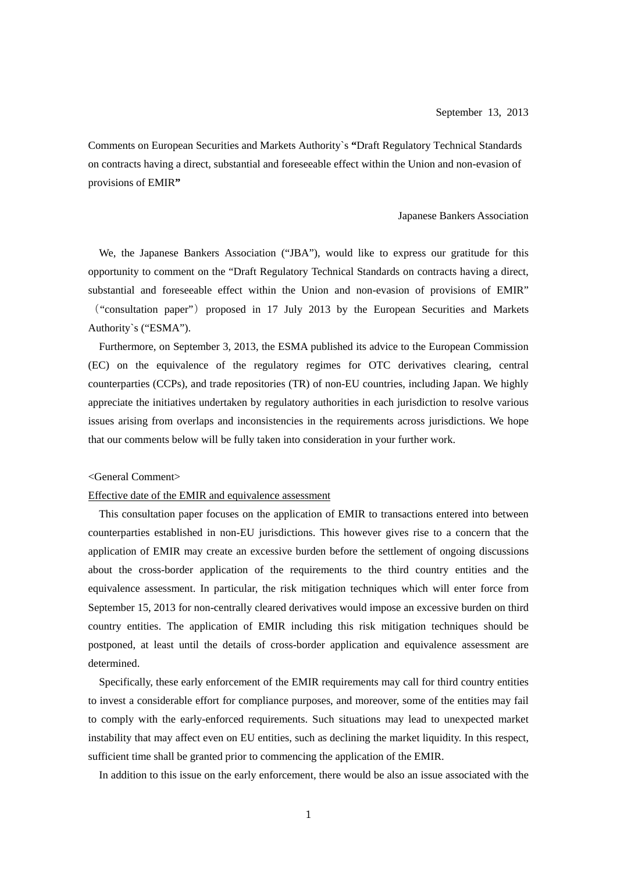Comments on European Securities and Markets Authority`s **"**Draft Regulatory Technical Standards on contracts having a direct, substantial and foreseeable effect within the Union and non-evasion of provisions of EMIR**"**

### Japanese Bankers Association

 We, the Japanese Bankers Association ("JBA"), would like to express our gratitude for this opportunity to comment on the "Draft Regulatory Technical Standards on contracts having a direct, substantial and foreseeable effect within the Union and non-evasion of provisions of EMIR" ("consultation paper") proposed in 17 July 2013 by the European Securities and Markets Authority`s ("ESMA").

Furthermore, on September 3, 2013, the ESMA published its advice to the European Commission (EC) on the equivalence of the regulatory regimes for OTC derivatives clearing, central counterparties (CCPs), and trade repositories (TR) of non-EU countries, including Japan. We highly appreciate the initiatives undertaken by regulatory authorities in each jurisdiction to resolve various issues arising from overlaps and inconsistencies in the requirements across jurisdictions. We hope that our comments below will be fully taken into consideration in your further work.

## <General Comment>

# Effective date of the EMIR and equivalence assessment

This consultation paper focuses on the application of EMIR to transactions entered into between counterparties established in non-EU jurisdictions. This however gives rise to a concern that the application of EMIR may create an excessive burden before the settlement of ongoing discussions about the cross-border application of the requirements to the third country entities and the equivalence assessment. In particular, the risk mitigation techniques which will enter force from September 15, 2013 for non-centrally cleared derivatives would impose an excessive burden on third country entities. The application of EMIR including this risk mitigation techniques should be postponed, at least until the details of cross-border application and equivalence assessment are determined.

Specifically, these early enforcement of the EMIR requirements may call for third country entities to invest a considerable effort for compliance purposes, and moreover, some of the entities may fail to comply with the early-enforced requirements. Such situations may lead to unexpected market instability that may affect even on EU entities, such as declining the market liquidity. In this respect, sufficient time shall be granted prior to commencing the application of the EMIR.

In addition to this issue on the early enforcement, there would be also an issue associated with the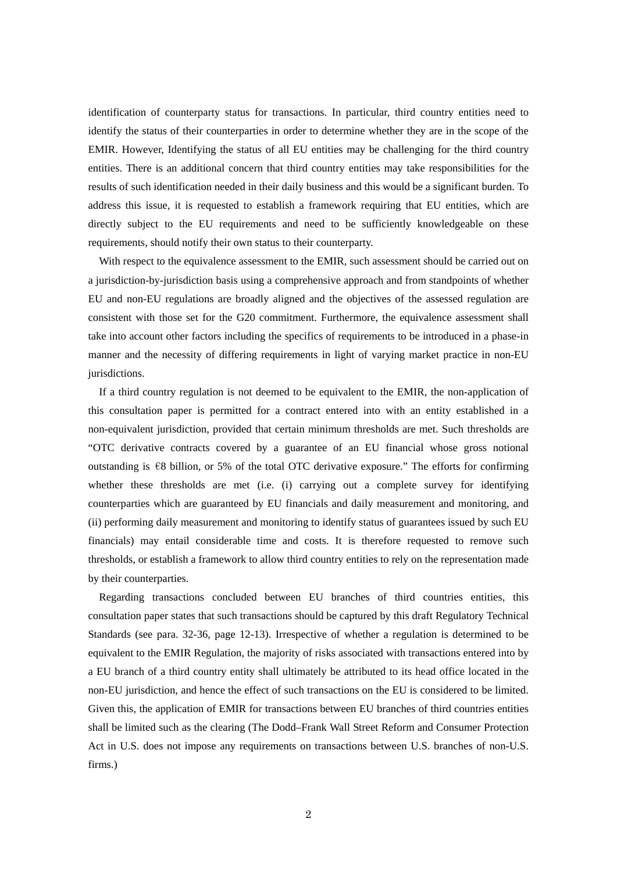identification of counterparty status for transactions. In particular, third country entities need to identify the status of their counterparties in order to determine whether they are in the scope of the EMIR. However, Identifying the status of all EU entities may be challenging for the third country entities. There is an additional concern that third country entities may take responsibilities for the results of such identification needed in their daily business and this would be a significant burden. To address this issue, it is requested to establish a framework requiring that EU entities, which are directly subject to the EU requirements and need to be sufficiently knowledgeable on these requirements, should notify their own status to their counterparty.

With respect to the equivalence assessment to the EMIR, such assessment should be carried out on a jurisdiction-by-jurisdiction basis using a comprehensive approach and from standpoints of whether EU and non-EU regulations are broadly aligned and the objectives of the assessed regulation are consistent with those set for the G20 commitment. Furthermore, the equivalence assessment shall take into account other factors including the specifics of requirements to be introduced in a phase-in manner and the necessity of differing requirements in light of varying market practice in non-EU jurisdictions.

If a third country regulation is not deemed to be equivalent to the EMIR, the non-application of this consultation paper is permitted for a contract entered into with an entity established in a non-equivalent jurisdiction, provided that certain minimum thresholds are met. Such thresholds are "OTC derivative contracts covered by a guarantee of an EU financial whose gross notional outstanding is  $\epsilon$ 8 billion, or 5% of the total OTC derivative exposure." The efforts for confirming whether these thresholds are met (i.e. (i) carrying out a complete survey for identifying counterparties which are guaranteed by EU financials and daily measurement and monitoring, and (ii) performing daily measurement and monitoring to identify status of guarantees issued by such EU financials) may entail considerable time and costs. It is therefore requested to remove such thresholds, or establish a framework to allow third country entities to rely on the representation made by their counterparties.

Regarding transactions concluded between EU branches of third countries entities, this consultation paper states that such transactions should be captured by this draft Regulatory Technical Standards (see para. 32-36, page 12-13). Irrespective of whether a regulation is determined to be equivalent to the EMIR Regulation, the majority of risks associated with transactions entered into by a EU branch of a third country entity shall ultimately be attributed to its head office located in the non-EU jurisdiction, and hence the effect of such transactions on the EU is considered to be limited. Given this, the application of EMIR for transactions between EU branches of third countries entities shall be limited such as the clearing (The Dodd–Frank Wall Street Reform and Consumer Protection Act in U.S. does not impose any requirements on transactions between U.S. branches of non-U.S. firms.)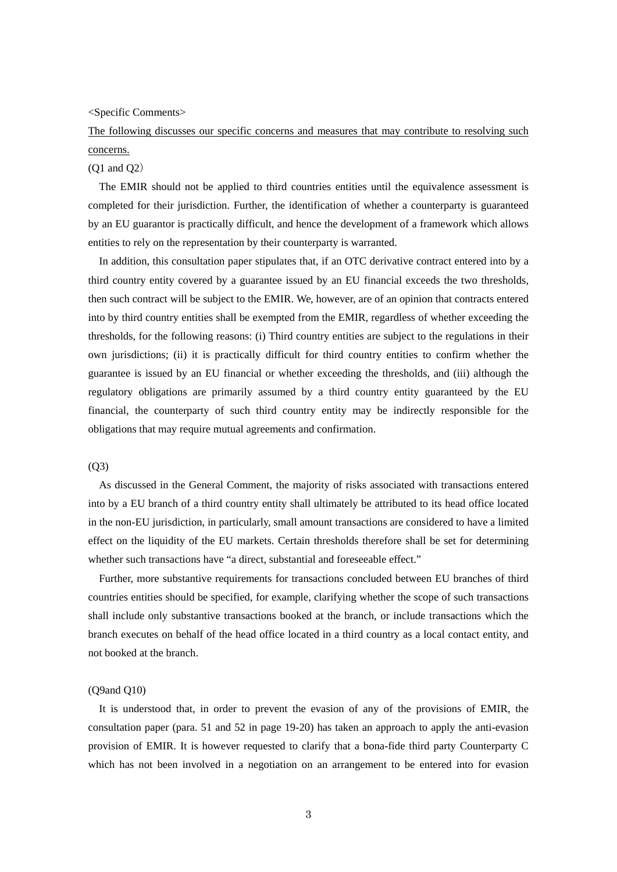<Specific Comments>

The following discusses our specific concerns and measures that may contribute to resolving such concerns.

#### $(O1 \text{ and } O2)$

The EMIR should not be applied to third countries entities until the equivalence assessment is completed for their jurisdiction. Further, the identification of whether a counterparty is guaranteed by an EU guarantor is practically difficult, and hence the development of a framework which allows entities to rely on the representation by their counterparty is warranted.

In addition, this consultation paper stipulates that, if an OTC derivative contract entered into by a third country entity covered by a guarantee issued by an EU financial exceeds the two thresholds, then such contract will be subject to the EMIR. We, however, are of an opinion that contracts entered into by third country entities shall be exempted from the EMIR, regardless of whether exceeding the thresholds, for the following reasons: (i) Third country entities are subject to the regulations in their own jurisdictions; (ii) it is practically difficult for third country entities to confirm whether the guarantee is issued by an EU financial or whether exceeding the thresholds, and (iii) although the regulatory obligations are primarily assumed by a third country entity guaranteed by the EU financial, the counterparty of such third country entity may be indirectly responsible for the obligations that may require mutual agreements and confirmation.

#### (Q3)

As discussed in the General Comment, the majority of risks associated with transactions entered into by a EU branch of a third country entity shall ultimately be attributed to its head office located in the non-EU jurisdiction, in particularly, small amount transactions are considered to have a limited effect on the liquidity of the EU markets. Certain thresholds therefore shall be set for determining whether such transactions have "a direct, substantial and foreseeable effect."

Further, more substantive requirements for transactions concluded between EU branches of third countries entities should be specified, for example, clarifying whether the scope of such transactions shall include only substantive transactions booked at the branch, or include transactions which the branch executes on behalf of the head office located in a third country as a local contact entity, and not booked at the branch.

## (Q9and Q10)

It is understood that, in order to prevent the evasion of any of the provisions of EMIR, the consultation paper (para. 51 and 52 in page 19-20) has taken an approach to apply the anti-evasion provision of EMIR. It is however requested to clarify that a bona-fide third party Counterparty C which has not been involved in a negotiation on an arrangement to be entered into for evasion